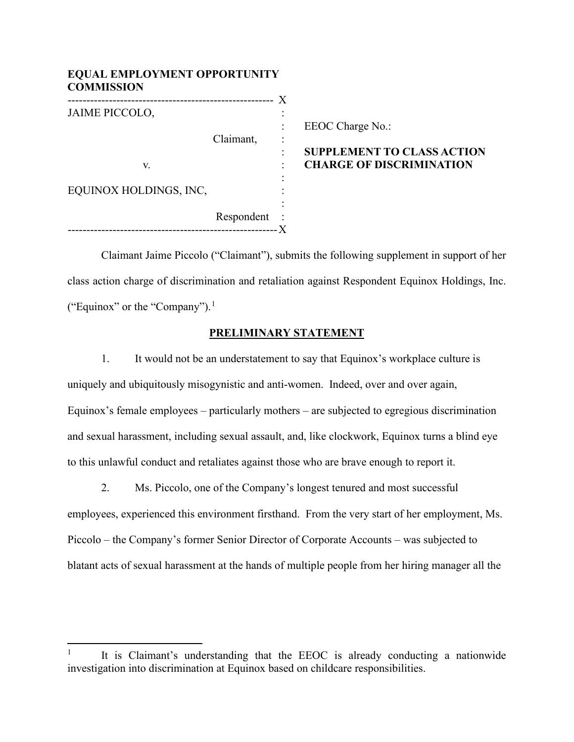| <b>EQUAL EMPLOYMENT OPPORTUNITY</b><br><b>COMMISSION</b> |            |  |               |  |
|----------------------------------------------------------|------------|--|---------------|--|
|                                                          |            |  |               |  |
| <b>JAIME PICCOLO,</b>                                    |            |  |               |  |
|                                                          |            |  | EEOC C        |  |
|                                                          | Claimant,  |  |               |  |
|                                                          |            |  | <b>SUPPLI</b> |  |
| V.                                                       |            |  | <b>CHARC</b>  |  |
|                                                          |            |  |               |  |
| EQUINOX HOLDINGS, INC,                                   |            |  |               |  |
|                                                          |            |  |               |  |
|                                                          | Respondent |  |               |  |
|                                                          |            |  |               |  |

# Charge  $No.$ :

## **EMENT TO CLASS ACTION GE OF DISCRIMINATION**

Claimant Jaime Piccolo ("Claimant"), submits the following supplement in support of her class action charge of discrimination and retaliation against Respondent Equinox Holdings, Inc. ("Equinox" or the "Company"). [1](#page-0-0)

## **PRELIMINARY STATEMENT**

1. It would not be an understatement to say that Equinox's workplace culture is uniquely and ubiquitously misogynistic and anti-women. Indeed, over and over again, Equinox's female employees – particularly mothers – are subjected to egregious discrimination and sexual harassment, including sexual assault, and, like clockwork, Equinox turns a blind eye to this unlawful conduct and retaliates against those who are brave enough to report it.

2. Ms. Piccolo, one of the Company's longest tenured and most successful employees, experienced this environment firsthand. From the very start of her employment, Ms. Piccolo – the Company's former Senior Director of Corporate Accounts – was subjected to blatant acts of sexual harassment at the hands of multiple people from her hiring manager all the

<span id="page-0-0"></span>It is Claimant's understanding that the EEOC is already conducting a nationwide investigation into discrimination at Equinox based on childcare responsibilities.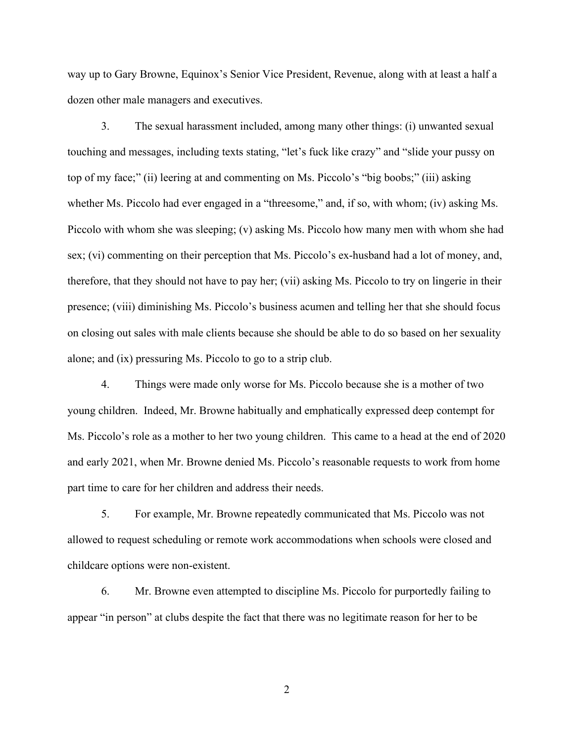way up to Gary Browne, Equinox's Senior Vice President, Revenue, along with at least a half a dozen other male managers and executives.

3. The sexual harassment included, among many other things: (i) unwanted sexual touching and messages, including texts stating, "let's fuck like crazy" and "slide your pussy on top of my face;" (ii) leering at and commenting on Ms. Piccolo's "big boobs;" (iii) asking whether Ms. Piccolo had ever engaged in a "threesome," and, if so, with whom; (iv) asking Ms. Piccolo with whom she was sleeping; (v) asking Ms. Piccolo how many men with whom she had sex; (vi) commenting on their perception that Ms. Piccolo's ex-husband had a lot of money, and, therefore, that they should not have to pay her; (vii) asking Ms. Piccolo to try on lingerie in their presence; (viii) diminishing Ms. Piccolo's business acumen and telling her that she should focus on closing out sales with male clients because she should be able to do so based on her sexuality alone; and (ix) pressuring Ms. Piccolo to go to a strip club.

4. Things were made only worse for Ms. Piccolo because she is a mother of two young children. Indeed, Mr. Browne habitually and emphatically expressed deep contempt for Ms. Piccolo's role as a mother to her two young children. This came to a head at the end of 2020 and early 2021, when Mr. Browne denied Ms. Piccolo's reasonable requests to work from home part time to care for her children and address their needs.

5. For example, Mr. Browne repeatedly communicated that Ms. Piccolo was not allowed to request scheduling or remote work accommodations when schools were closed and childcare options were non-existent.

6. Mr. Browne even attempted to discipline Ms. Piccolo for purportedly failing to appear "in person" at clubs despite the fact that there was no legitimate reason for her to be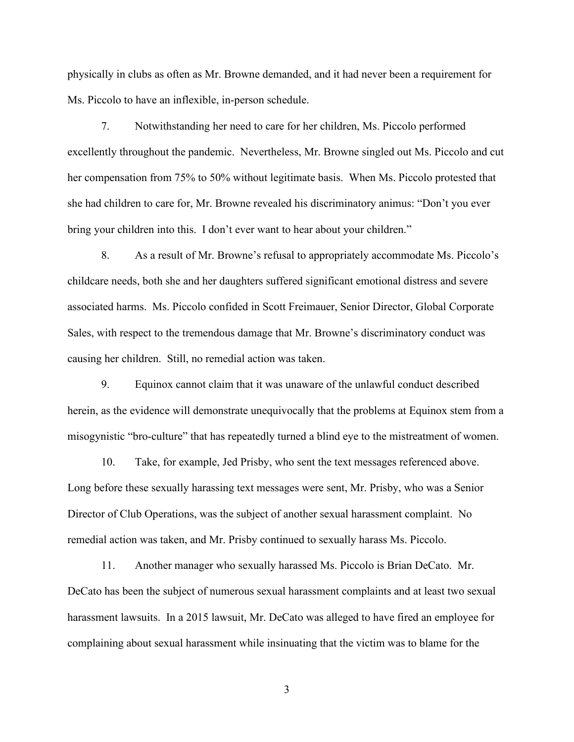physically in clubs as often as Mr. Browne demanded, and it had never been a requirement for Ms. Piccolo to have an inflexible, in-person schedule.

7. Notwithstanding her need to care for her children, Ms. Piccolo performed excellently throughout the pandemic. Nevertheless, Mr. Browne singled out Ms. Piccolo and cut her compensation from 75% to 50% without legitimate basis. When Ms. Piccolo protested that she had children to care for, Mr. Browne revealed his discriminatory animus: "Don't you ever bring your children into this. I don't ever want to hear about your children."

8. As a result of Mr. Browne's refusal to appropriately accommodate Ms. Piccolo's childcare needs, both she and her daughters suffered significant emotional distress and severe associated harms. Ms. Piccolo confided in Scott Freimauer, Senior Director, Global Corporate Sales, with respect to the tremendous damage that Mr. Browne's discriminatory conduct was causing her children. Still, no remedial action was taken.

9. Equinox cannot claim that it was unaware of the unlawful conduct described herein, as the evidence will demonstrate unequivocally that the problems at Equinox stem from a misogynistic "bro-culture" that has repeatedly turned a blind eye to the mistreatment of women.

10. Take, for example, Jed Prisby, who sent the text messages referenced above. Long before these sexually harassing text messages were sent, Mr. Prisby, who was a Senior Director of Club Operations, was the subject of another sexual harassment complaint. No remedial action was taken, and Mr. Prisby continued to sexually harass Ms. Piccolo.

11. Another manager who sexually harassed Ms. Piccolo is Brian DeCato. Mr. DeCato has been the subject of numerous sexual harassment complaints and at least two sexual harassment lawsuits. In a 2015 lawsuit, Mr. DeCato was alleged to have fired an employee for complaining about sexual harassment while insinuating that the victim was to blame for the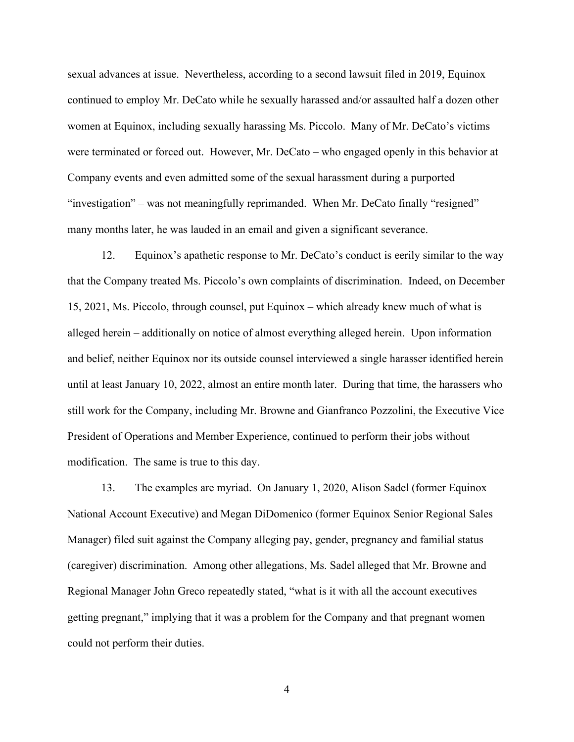sexual advances at issue. Nevertheless, according to a second lawsuit filed in 2019, Equinox continued to employ Mr. DeCato while he sexually harassed and/or assaulted half a dozen other women at Equinox, including sexually harassing Ms. Piccolo. Many of Mr. DeCato's victims were terminated or forced out. However, Mr. DeCato – who engaged openly in this behavior at Company events and even admitted some of the sexual harassment during a purported "investigation" – was not meaningfully reprimanded. When Mr. DeCato finally "resigned" many months later, he was lauded in an email and given a significant severance.

12. Equinox's apathetic response to Mr. DeCato's conduct is eerily similar to the way that the Company treated Ms. Piccolo's own complaints of discrimination. Indeed, on December 15, 2021, Ms. Piccolo, through counsel, put Equinox – which already knew much of what is alleged herein – additionally on notice of almost everything alleged herein. Upon information and belief, neither Equinox nor its outside counsel interviewed a single harasser identified herein until at least January 10, 2022, almost an entire month later. During that time, the harassers who still work for the Company, including Mr. Browne and Gianfranco Pozzolini, the Executive Vice President of Operations and Member Experience, continued to perform their jobs without modification. The same is true to this day.

13. The examples are myriad. On January 1, 2020, Alison Sadel (former Equinox National Account Executive) and Megan DiDomenico (former Equinox Senior Regional Sales Manager) filed suit against the Company alleging pay, gender, pregnancy and familial status (caregiver) discrimination. Among other allegations, Ms. Sadel alleged that Mr. Browne and Regional Manager John Greco repeatedly stated, "what is it with all the account executives getting pregnant," implying that it was a problem for the Company and that pregnant women could not perform their duties.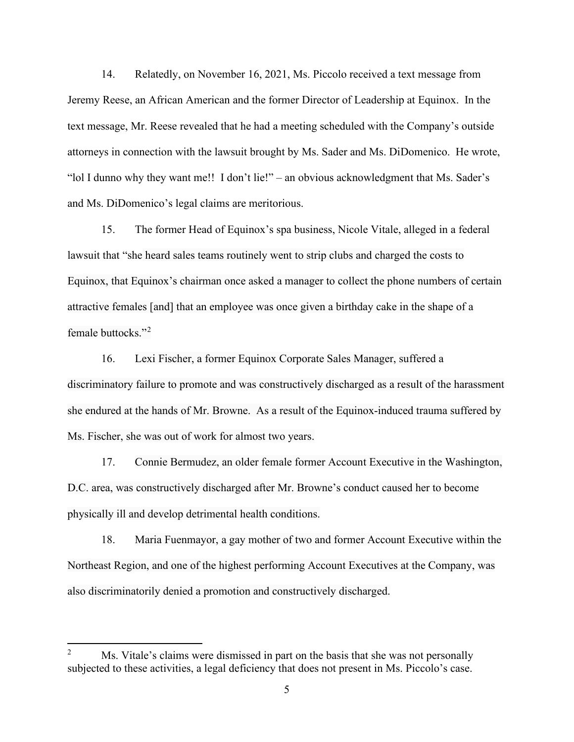14. Relatedly, on November 16, 2021, Ms. Piccolo received a text message from Jeremy Reese, an African American and the former Director of Leadership at Equinox. In the text message, Mr. Reese revealed that he had a meeting scheduled with the Company's outside attorneys in connection with the lawsuit brought by Ms. Sader and Ms. DiDomenico. He wrote, "lol I dunno why they want me!! I don't lie!" – an obvious acknowledgment that Ms. Sader's and Ms. DiDomenico's legal claims are meritorious.

15. The former Head of Equinox's spa business, Nicole Vitale, alleged in a federal lawsuit that "she heard sales teams routinely went to strip clubs and charged the costs to Equinox, that Equinox's chairman once asked a manager to collect the phone numbers of certain attractive females [and] that an employee was once given a birthday cake in the shape of a female buttocks."<sup>[2](#page-4-0)</sup>

16. Lexi Fischer, a former Equinox Corporate Sales Manager, suffered a discriminatory failure to promote and was constructively discharged as a result of the harassment she endured at the hands of Mr. Browne. As a result of the Equinox-induced trauma suffered by Ms. Fischer, she was out of work for almost two years.

17. Connie Bermudez, an older female former Account Executive in the Washington, D.C. area, was constructively discharged after Mr. Browne's conduct caused her to become physically ill and develop detrimental health conditions.

18. Maria Fuenmayor, a gay mother of two and former Account Executive within the Northeast Region, and one of the highest performing Account Executives at the Company, was also discriminatorily denied a promotion and constructively discharged.

<span id="page-4-0"></span>Ms. Vitale's claims were dismissed in part on the basis that she was not personally subjected to these activities, a legal deficiency that does not present in Ms. Piccolo's case.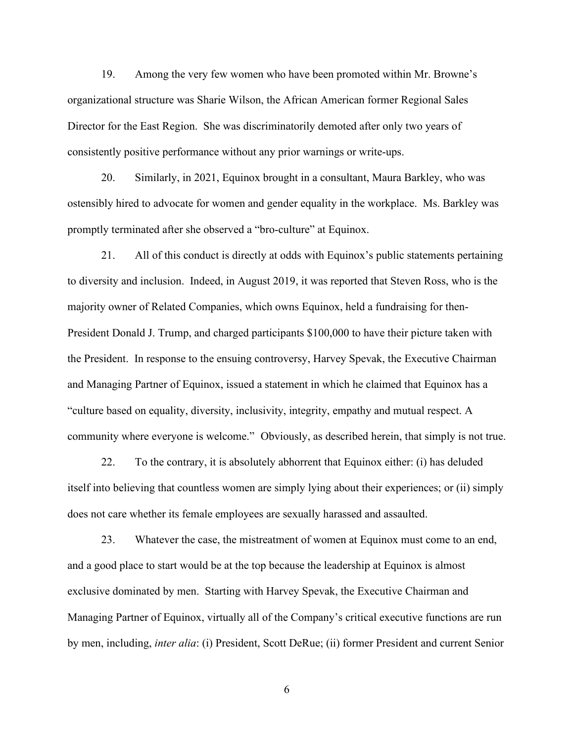19. Among the very few women who have been promoted within Mr. Browne's organizational structure was Sharie Wilson, the African American former Regional Sales Director for the East Region. She was discriminatorily demoted after only two years of consistently positive performance without any prior warnings or write-ups.

20. Similarly, in 2021, Equinox brought in a consultant, Maura Barkley, who was ostensibly hired to advocate for women and gender equality in the workplace. Ms. Barkley was promptly terminated after she observed a "bro-culture" at Equinox.

21. All of this conduct is directly at odds with Equinox's public statements pertaining to diversity and inclusion. Indeed, in August 2019, it was reported that Steven Ross, who is the majority owner of Related Companies, which owns Equinox, held a fundraising for then-President Donald J. Trump, and charged participants \$100,000 to have their picture taken with the President. In response to the ensuing controversy, Harvey Spevak, the Executive Chairman and Managing Partner of Equinox, issued a statement in which he claimed that Equinox has a "culture based on equality, diversity, inclusivity, integrity, empathy and mutual respect. A community where everyone is welcome." Obviously, as described herein, that simply is not true.

22. To the contrary, it is absolutely abhorrent that Equinox either: (i) has deluded itself into believing that countless women are simply lying about their experiences; or (ii) simply does not care whether its female employees are sexually harassed and assaulted.

23. Whatever the case, the mistreatment of women at Equinox must come to an end, and a good place to start would be at the top because the leadership at Equinox is almost exclusive dominated by men. Starting with Harvey Spevak, the Executive Chairman and Managing Partner of Equinox, virtually all of the Company's critical executive functions are run by men, including, *inter alia*: (i) President, Scott DeRue; (ii) former President and current Senior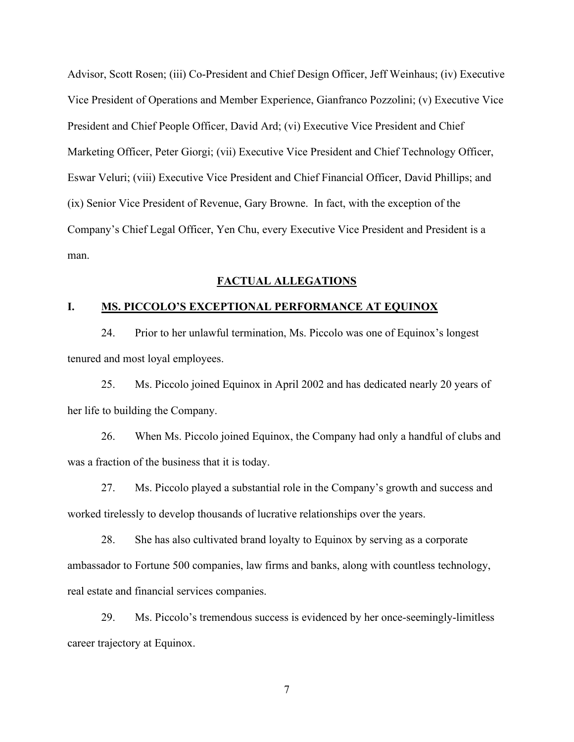Advisor, Scott Rosen; (iii) Co-President and Chief Design Officer, Jeff Weinhaus; (iv) Executive Vice President of Operations and Member Experience, Gianfranco Pozzolini; (v) Executive Vice President and Chief People Officer, David Ard; (vi) Executive Vice President and Chief Marketing Officer, Peter Giorgi; (vii) Executive Vice President and Chief Technology Officer, Eswar Veluri; (viii) Executive Vice President and Chief Financial Officer, David Phillips; and (ix) Senior Vice President of Revenue, Gary Browne. In fact, with the exception of the Company's Chief Legal Officer, Yen Chu, every Executive Vice President and President is a man.

#### **FACTUAL ALLEGATIONS**

#### **I. MS. PICCOLO'S EXCEPTIONAL PERFORMANCE AT EQUINOX**

24. Prior to her unlawful termination, Ms. Piccolo was one of Equinox's longest tenured and most loyal employees.

25. Ms. Piccolo joined Equinox in April 2002 and has dedicated nearly 20 years of her life to building the Company.

26. When Ms. Piccolo joined Equinox, the Company had only a handful of clubs and was a fraction of the business that it is today.

27. Ms. Piccolo played a substantial role in the Company's growth and success and worked tirelessly to develop thousands of lucrative relationships over the years.

28. She has also cultivated brand loyalty to Equinox by serving as a corporate ambassador to Fortune 500 companies, law firms and banks, along with countless technology, real estate and financial services companies.

29. Ms. Piccolo's tremendous success is evidenced by her once-seemingly-limitless career trajectory at Equinox.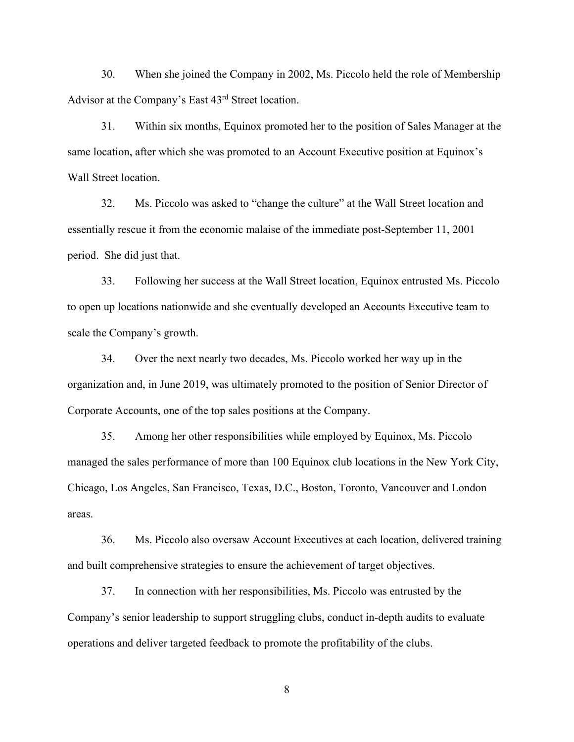30. When she joined the Company in 2002, Ms. Piccolo held the role of Membership Advisor at the Company's East 43rd Street location.

31. Within six months, Equinox promoted her to the position of Sales Manager at the same location, after which she was promoted to an Account Executive position at Equinox's Wall Street location.

32. Ms. Piccolo was asked to "change the culture" at the Wall Street location and essentially rescue it from the economic malaise of the immediate post-September 11, 2001 period. She did just that.

33. Following her success at the Wall Street location, Equinox entrusted Ms. Piccolo to open up locations nationwide and she eventually developed an Accounts Executive team to scale the Company's growth.

34. Over the next nearly two decades, Ms. Piccolo worked her way up in the organization and, in June 2019, was ultimately promoted to the position of Senior Director of Corporate Accounts, one of the top sales positions at the Company.

35. Among her other responsibilities while employed by Equinox, Ms. Piccolo managed the sales performance of more than 100 Equinox club locations in the New York City, Chicago, Los Angeles, San Francisco, Texas, D.C., Boston, Toronto, Vancouver and London areas.

36. Ms. Piccolo also oversaw Account Executives at each location, delivered training and built comprehensive strategies to ensure the achievement of target objectives.

37. In connection with her responsibilities, Ms. Piccolo was entrusted by the Company's senior leadership to support struggling clubs, conduct in-depth audits to evaluate operations and deliver targeted feedback to promote the profitability of the clubs.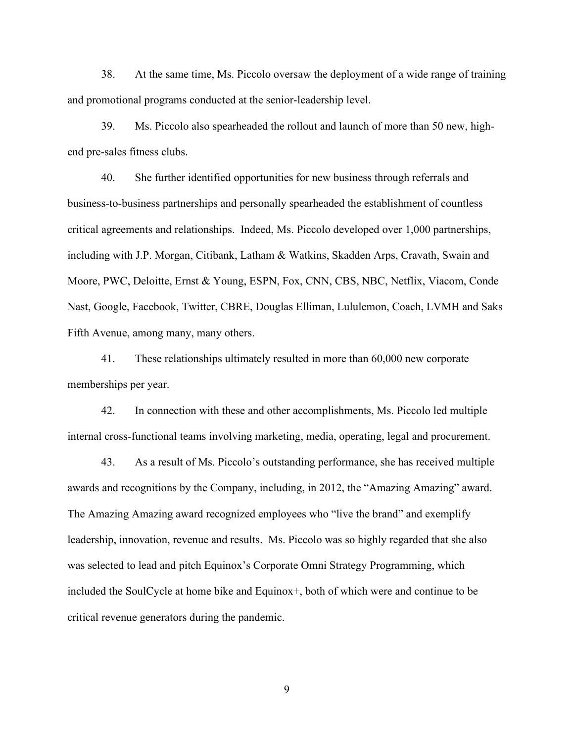38. At the same time, Ms. Piccolo oversaw the deployment of a wide range of training and promotional programs conducted at the senior-leadership level.

39. Ms. Piccolo also spearheaded the rollout and launch of more than 50 new, highend pre-sales fitness clubs.

40. She further identified opportunities for new business through referrals and business-to-business partnerships and personally spearheaded the establishment of countless critical agreements and relationships. Indeed, Ms. Piccolo developed over 1,000 partnerships, including with J.P. Morgan, Citibank, Latham & Watkins, Skadden Arps, Cravath, Swain and Moore, PWC, Deloitte, Ernst & Young, ESPN, Fox, CNN, CBS, NBC, Netflix, Viacom, Conde Nast, Google, Facebook, Twitter, CBRE, Douglas Elliman, Lululemon, Coach, LVMH and Saks Fifth Avenue, among many, many others.

41. These relationships ultimately resulted in more than 60,000 new corporate memberships per year.

42. In connection with these and other accomplishments, Ms. Piccolo led multiple internal cross-functional teams involving marketing, media, operating, legal and procurement.

43. As a result of Ms. Piccolo's outstanding performance, she has received multiple awards and recognitions by the Company, including, in 2012, the "Amazing Amazing" award. The Amazing Amazing award recognized employees who "live the brand" and exemplify leadership, innovation, revenue and results. Ms. Piccolo was so highly regarded that she also was selected to lead and pitch Equinox's Corporate Omni Strategy Programming, which included the SoulCycle at home bike and Equinox+, both of which were and continue to be critical revenue generators during the pandemic.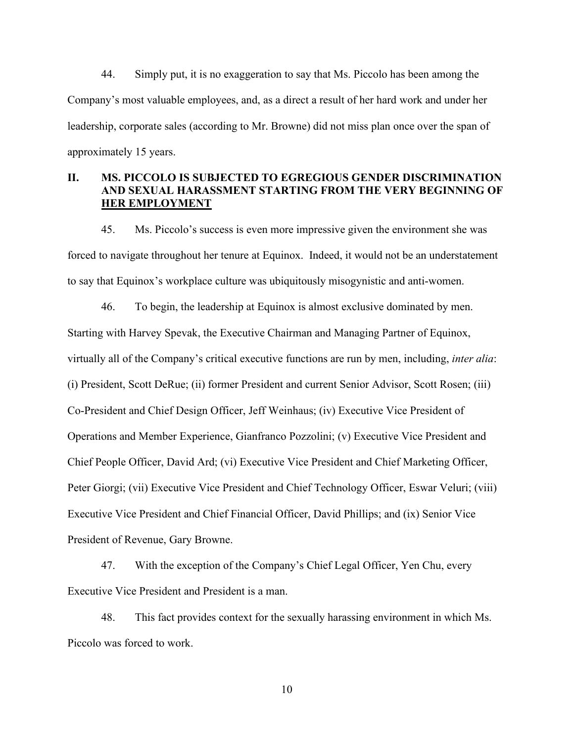44. Simply put, it is no exaggeration to say that Ms. Piccolo has been among the Company's most valuable employees, and, as a direct a result of her hard work and under her leadership, corporate sales (according to Mr. Browne) did not miss plan once over the span of approximately 15 years.

# **II. MS. PICCOLO IS SUBJECTED TO EGREGIOUS GENDER DISCRIMINATION AND SEXUAL HARASSMENT STARTING FROM THE VERY BEGINNING OF HER EMPLOYMENT**

45. Ms. Piccolo's success is even more impressive given the environment she was forced to navigate throughout her tenure at Equinox. Indeed, it would not be an understatement to say that Equinox's workplace culture was ubiquitously misogynistic and anti-women.

46. To begin, the leadership at Equinox is almost exclusive dominated by men. Starting with Harvey Spevak, the Executive Chairman and Managing Partner of Equinox, virtually all of the Company's critical executive functions are run by men, including, *inter alia*: (i) President, Scott DeRue; (ii) former President and current Senior Advisor, Scott Rosen; (iii) Co-President and Chief Design Officer, Jeff Weinhaus; (iv) Executive Vice President of Operations and Member Experience, Gianfranco Pozzolini; (v) Executive Vice President and Chief People Officer, David Ard; (vi) Executive Vice President and Chief Marketing Officer, Peter Giorgi; (vii) Executive Vice President and Chief Technology Officer, Eswar Veluri; (viii) Executive Vice President and Chief Financial Officer, David Phillips; and (ix) Senior Vice President of Revenue, Gary Browne.

47. With the exception of the Company's Chief Legal Officer, Yen Chu, every Executive Vice President and President is a man.

48. This fact provides context for the sexually harassing environment in which Ms. Piccolo was forced to work.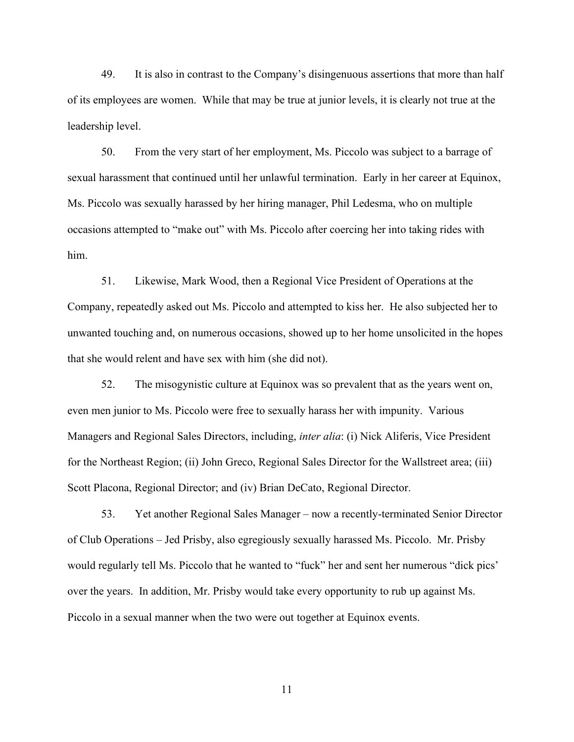49. It is also in contrast to the Company's disingenuous assertions that more than half of its employees are women. While that may be true at junior levels, it is clearly not true at the leadership level.

50. From the very start of her employment, Ms. Piccolo was subject to a barrage of sexual harassment that continued until her unlawful termination. Early in her career at Equinox, Ms. Piccolo was sexually harassed by her hiring manager, Phil Ledesma, who on multiple occasions attempted to "make out" with Ms. Piccolo after coercing her into taking rides with him.

51. Likewise, Mark Wood, then a Regional Vice President of Operations at the Company, repeatedly asked out Ms. Piccolo and attempted to kiss her. He also subjected her to unwanted touching and, on numerous occasions, showed up to her home unsolicited in the hopes that she would relent and have sex with him (she did not).

52. The misogynistic culture at Equinox was so prevalent that as the years went on, even men junior to Ms. Piccolo were free to sexually harass her with impunity. Various Managers and Regional Sales Directors, including, *inter alia*: (i) Nick Aliferis, Vice President for the Northeast Region; (ii) John Greco, Regional Sales Director for the Wallstreet area; (iii) Scott Placona, Regional Director; and (iv) Brian DeCato, Regional Director.

53. Yet another Regional Sales Manager – now a recently-terminated Senior Director of Club Operations – Jed Prisby, also egregiously sexually harassed Ms. Piccolo. Mr. Prisby would regularly tell Ms. Piccolo that he wanted to "fuck" her and sent her numerous "dick pics' over the years. In addition, Mr. Prisby would take every opportunity to rub up against Ms. Piccolo in a sexual manner when the two were out together at Equinox events.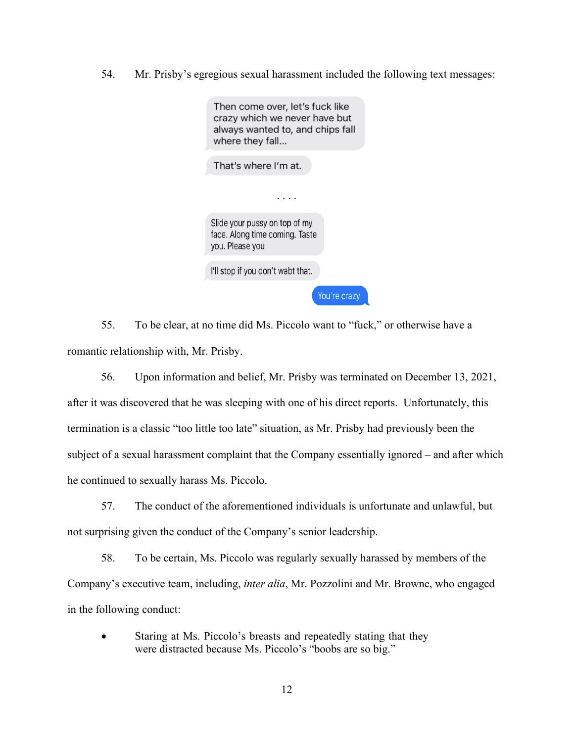54. Mr. Prisby's egregious sexual harassment included the following text messages:

| Then come over, let's fuck like<br>crazy which we never have but<br>always wanted to, and chips fall<br>where they fall |
|-------------------------------------------------------------------------------------------------------------------------|
| That's where I'm at.                                                                                                    |
|                                                                                                                         |
| Slide your pussy on top of my<br>face. Along time coming. Taste<br>you. Please you                                      |
| I'll stop if you don't wabt that.                                                                                       |
| You're crazy                                                                                                            |

55. To be clear, at no time did Ms. Piccolo want to "fuck," or otherwise have a romantic relationship with, Mr. Prisby.

56. Upon information and belief, Mr. Prisby was terminated on December 13, 2021, after it was discovered that he was sleeping with one of his direct reports. Unfortunately, this termination is a classic "too little too late" situation, as Mr. Prisby had previously been the subject of a sexual harassment complaint that the Company essentially ignored – and after which he continued to sexually harass Ms. Piccolo.

57. The conduct of the aforementioned individuals is unfortunate and unlawful, but not surprising given the conduct of the Company's senior leadership.

58. To be certain, Ms. Piccolo was regularly sexually harassed by members of the Company's executive team, including, *inter alia*, Mr. Pozzolini and Mr. Browne, who engaged in the following conduct:

Staring at Ms. Piccolo's breasts and repeatedly stating that they were distracted because Ms. Piccolo's "boobs are so big."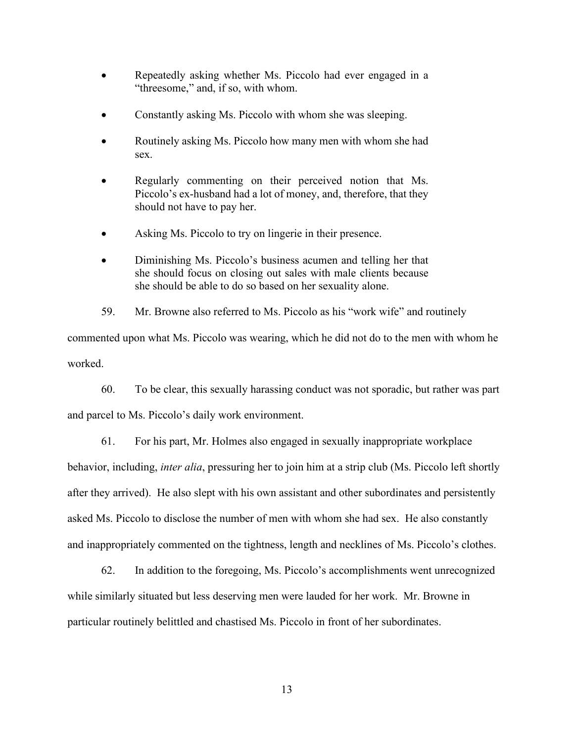- Repeatedly asking whether Ms. Piccolo had ever engaged in a "threesome," and, if so, with whom.
- Constantly asking Ms. Piccolo with whom she was sleeping.
- Routinely asking Ms. Piccolo how many men with whom she had sex.
- Regularly commenting on their perceived notion that Ms. Piccolo's ex-husband had a lot of money, and, therefore, that they should not have to pay her.
- Asking Ms. Piccolo to try on lingerie in their presence.
- Diminishing Ms. Piccolo's business acumen and telling her that she should focus on closing out sales with male clients because she should be able to do so based on her sexuality alone.

59. Mr. Browne also referred to Ms. Piccolo as his "work wife" and routinely commented upon what Ms. Piccolo was wearing, which he did not do to the men with whom he worked.

60. To be clear, this sexually harassing conduct was not sporadic, but rather was part and parcel to Ms. Piccolo's daily work environment.

61. For his part, Mr. Holmes also engaged in sexually inappropriate workplace behavior, including, *inter alia*, pressuring her to join him at a strip club (Ms. Piccolo left shortly after they arrived). He also slept with his own assistant and other subordinates and persistently asked Ms. Piccolo to disclose the number of men with whom she had sex. He also constantly and inappropriately commented on the tightness, length and necklines of Ms. Piccolo's clothes.

62. In addition to the foregoing, Ms. Piccolo's accomplishments went unrecognized while similarly situated but less deserving men were lauded for her work. Mr. Browne in particular routinely belittled and chastised Ms. Piccolo in front of her subordinates.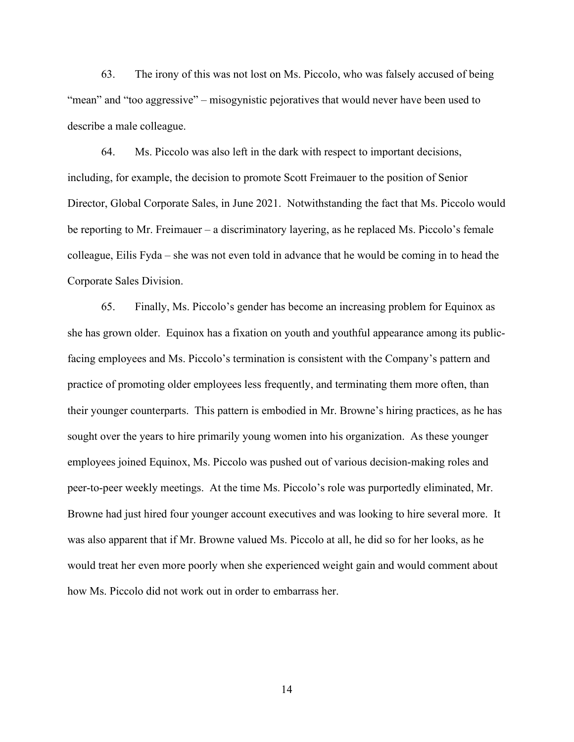63. The irony of this was not lost on Ms. Piccolo, who was falsely accused of being "mean" and "too aggressive" – misogynistic pejoratives that would never have been used to describe a male colleague.

64. Ms. Piccolo was also left in the dark with respect to important decisions, including, for example, the decision to promote Scott Freimauer to the position of Senior Director, Global Corporate Sales, in June 2021. Notwithstanding the fact that Ms. Piccolo would be reporting to Mr. Freimauer – a discriminatory layering, as he replaced Ms. Piccolo's female colleague, Eilis Fyda – she was not even told in advance that he would be coming in to head the Corporate Sales Division.

65. Finally, Ms. Piccolo's gender has become an increasing problem for Equinox as she has grown older. Equinox has a fixation on youth and youthful appearance among its publicfacing employees and Ms. Piccolo's termination is consistent with the Company's pattern and practice of promoting older employees less frequently, and terminating them more often, than their younger counterparts. This pattern is embodied in Mr. Browne's hiring practices, as he has sought over the years to hire primarily young women into his organization. As these younger employees joined Equinox, Ms. Piccolo was pushed out of various decision-making roles and peer-to-peer weekly meetings. At the time Ms. Piccolo's role was purportedly eliminated, Mr. Browne had just hired four younger account executives and was looking to hire several more. It was also apparent that if Mr. Browne valued Ms. Piccolo at all, he did so for her looks, as he would treat her even more poorly when she experienced weight gain and would comment about how Ms. Piccolo did not work out in order to embarrass her.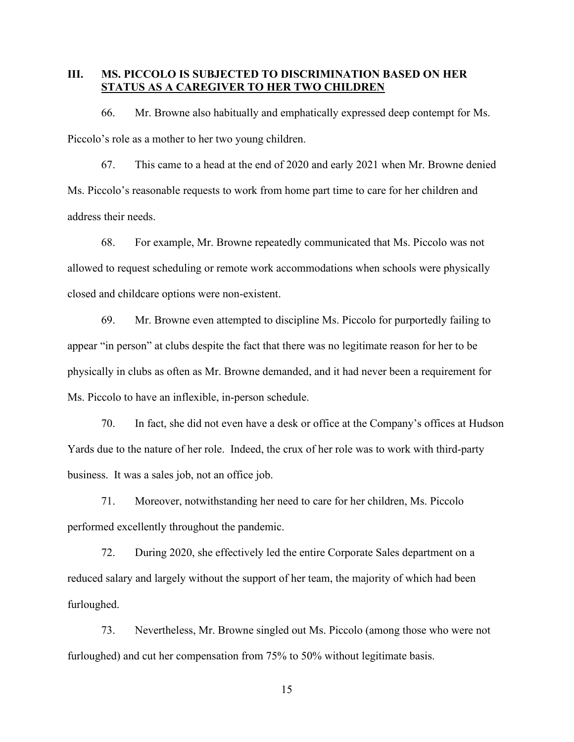#### **III. MS. PICCOLO IS SUBJECTED TO DISCRIMINATION BASED ON HER STATUS AS A CAREGIVER TO HER TWO CHILDREN**

66. Mr. Browne also habitually and emphatically expressed deep contempt for Ms. Piccolo's role as a mother to her two young children.

67. This came to a head at the end of 2020 and early 2021 when Mr. Browne denied Ms. Piccolo's reasonable requests to work from home part time to care for her children and address their needs.

68. For example, Mr. Browne repeatedly communicated that Ms. Piccolo was not allowed to request scheduling or remote work accommodations when schools were physically closed and childcare options were non-existent.

69. Mr. Browne even attempted to discipline Ms. Piccolo for purportedly failing to appear "in person" at clubs despite the fact that there was no legitimate reason for her to be physically in clubs as often as Mr. Browne demanded, and it had never been a requirement for Ms. Piccolo to have an inflexible, in-person schedule.

70. In fact, she did not even have a desk or office at the Company's offices at Hudson Yards due to the nature of her role. Indeed, the crux of her role was to work with third-party business. It was a sales job, not an office job.

71. Moreover, notwithstanding her need to care for her children, Ms. Piccolo performed excellently throughout the pandemic.

72. During 2020, she effectively led the entire Corporate Sales department on a reduced salary and largely without the support of her team, the majority of which had been furloughed.

73. Nevertheless, Mr. Browne singled out Ms. Piccolo (among those who were not furloughed) and cut her compensation from 75% to 50% without legitimate basis.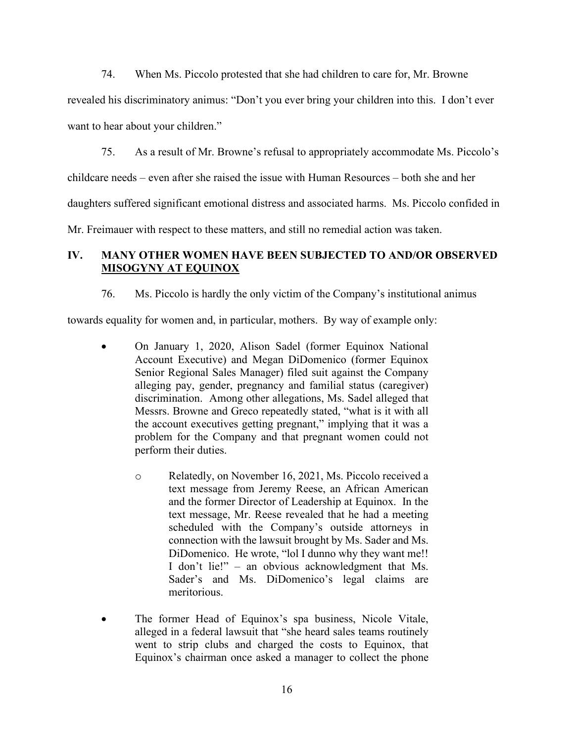74. When Ms. Piccolo protested that she had children to care for, Mr. Browne

revealed his discriminatory animus: "Don't you ever bring your children into this. I don't ever want to hear about your children."

75. As a result of Mr. Browne's refusal to appropriately accommodate Ms. Piccolo's

childcare needs – even after she raised the issue with Human Resources – both she and her

daughters suffered significant emotional distress and associated harms. Ms. Piccolo confided in

Mr. Freimauer with respect to these matters, and still no remedial action was taken.

# **IV. MANY OTHER WOMEN HAVE BEEN SUBJECTED TO AND/OR OBSERVED MISOGYNY AT EQUINOX**

76. Ms. Piccolo is hardly the only victim of the Company's institutional animus

towards equality for women and, in particular, mothers. By way of example only:

- On January 1, 2020, Alison Sadel (former Equinox National Account Executive) and Megan DiDomenico (former Equinox Senior Regional Sales Manager) filed suit against the Company alleging pay, gender, pregnancy and familial status (caregiver) discrimination. Among other allegations, Ms. Sadel alleged that Messrs. Browne and Greco repeatedly stated, "what is it with all the account executives getting pregnant," implying that it was a problem for the Company and that pregnant women could not perform their duties.
	- o Relatedly, on November 16, 2021, Ms. Piccolo received a text message from Jeremy Reese, an African American and the former Director of Leadership at Equinox. In the text message, Mr. Reese revealed that he had a meeting scheduled with the Company's outside attorneys in connection with the lawsuit brought by Ms. Sader and Ms. DiDomenico. He wrote, "lol I dunno why they want me!! I don't lie!" – an obvious acknowledgment that Ms. Sader's and Ms. DiDomenico's legal claims are meritorious.
- The former Head of Equinox's spa business, Nicole Vitale, alleged in a federal lawsuit that "she heard sales teams routinely went to strip clubs and charged the costs to Equinox, that Equinox's chairman once asked a manager to collect the phone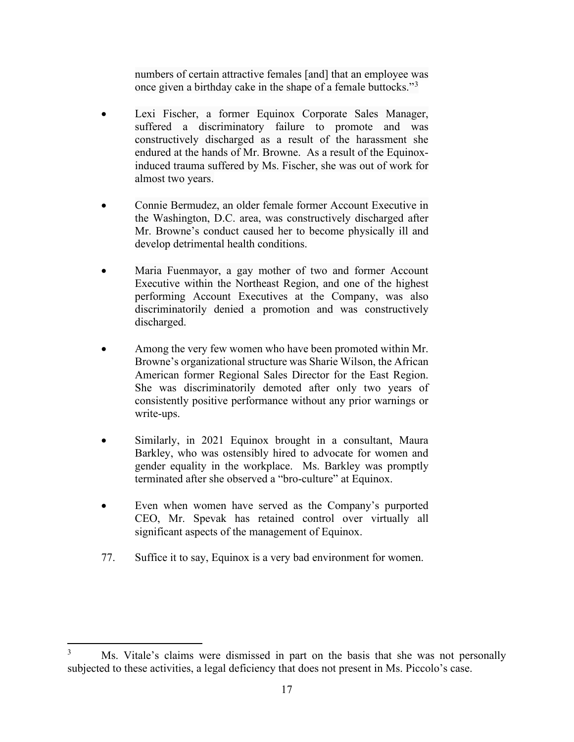numbers of certain attractive females [and] that an employee was once given a birthday cake in the shape of a female buttocks."<sup>[3](#page-16-0)</sup>

- Lexi Fischer, a former Equinox Corporate Sales Manager, suffered a discriminatory failure to promote and was constructively discharged as a result of the harassment she endured at the hands of Mr. Browne. As a result of the Equinoxinduced trauma suffered by Ms. Fischer, she was out of work for almost two years.
- Connie Bermudez, an older female former Account Executive in the Washington, D.C. area, was constructively discharged after Mr. Browne's conduct caused her to become physically ill and develop detrimental health conditions.
- Maria Fuenmayor, a gay mother of two and former Account Executive within the Northeast Region, and one of the highest performing Account Executives at the Company, was also discriminatorily denied a promotion and was constructively discharged.
- Among the very few women who have been promoted within Mr. Browne's organizational structure was Sharie Wilson, the African American former Regional Sales Director for the East Region. She was discriminatorily demoted after only two years of consistently positive performance without any prior warnings or write-ups.
- Similarly, in 2021 Equinox brought in a consultant, Maura Barkley, who was ostensibly hired to advocate for women and gender equality in the workplace. Ms. Barkley was promptly terminated after she observed a "bro-culture" at Equinox.
- Even when women have served as the Company's purported CEO, Mr. Spevak has retained control over virtually all significant aspects of the management of Equinox.
- 77. Suffice it to say, Equinox is a very bad environment for women.

<span id="page-16-0"></span><sup>&</sup>lt;sup>3</sup> Ms. Vitale's claims were dismissed in part on the basis that she was not personally subjected to these activities, a legal deficiency that does not present in Ms. Piccolo's case.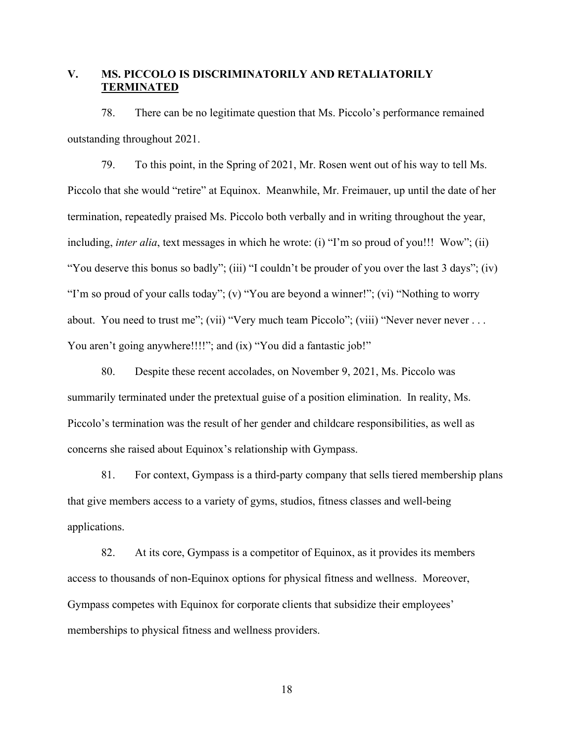## **V. MS. PICCOLO IS DISCRIMINATORILY AND RETALIATORILY TERMINATED**

78. There can be no legitimate question that Ms. Piccolo's performance remained outstanding throughout 2021.

79. To this point, in the Spring of 2021, Mr. Rosen went out of his way to tell Ms. Piccolo that she would "retire" at Equinox. Meanwhile, Mr. Freimauer, up until the date of her termination, repeatedly praised Ms. Piccolo both verbally and in writing throughout the year, including, *inter alia*, text messages in which he wrote: (i) "I'm so proud of you!!! Wow"; (ii) "You deserve this bonus so badly"; (iii) "I couldn't be prouder of you over the last 3 days"; (iv) "I'm so proud of your calls today"; (v) "You are beyond a winner!"; (vi) "Nothing to worry about. You need to trust me"; (vii) "Very much team Piccolo"; (viii) "Never never never . . . You aren't going anywhere!!!!"; and (ix) "You did a fantastic job!"

80. Despite these recent accolades, on November 9, 2021, Ms. Piccolo was summarily terminated under the pretextual guise of a position elimination. In reality, Ms. Piccolo's termination was the result of her gender and childcare responsibilities, as well as concerns she raised about Equinox's relationship with Gympass.

81. For context, Gympass is a third-party company that sells tiered membership plans that give members access to a variety of gyms, studios, fitness classes and well-being applications.

82. At its core, Gympass is a competitor of Equinox, as it provides its members access to thousands of non-Equinox options for physical fitness and wellness. Moreover, Gympass competes with Equinox for corporate clients that subsidize their employees' memberships to physical fitness and wellness providers.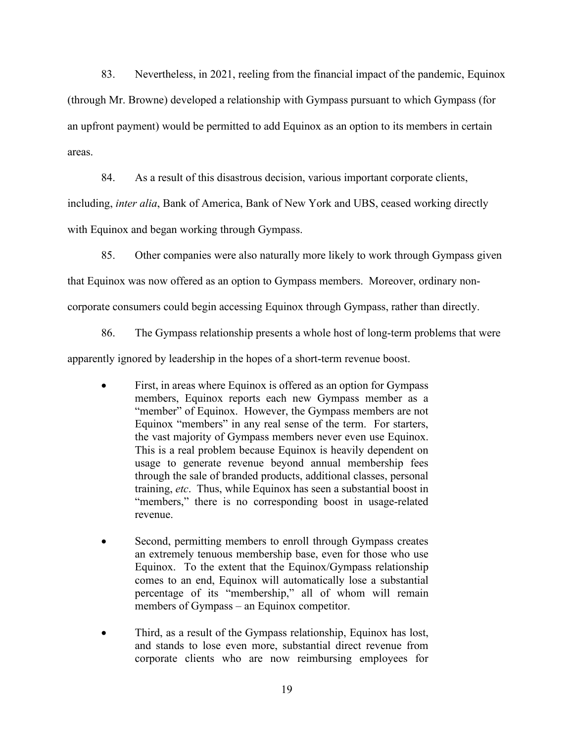83. Nevertheless, in 2021, reeling from the financial impact of the pandemic, Equinox (through Mr. Browne) developed a relationship with Gympass pursuant to which Gympass (for an upfront payment) would be permitted to add Equinox as an option to its members in certain areas.

84. As a result of this disastrous decision, various important corporate clients,

including, *inter alia*, Bank of America, Bank of New York and UBS, ceased working directly

with Equinox and began working through Gympass.

85. Other companies were also naturally more likely to work through Gympass given

that Equinox was now offered as an option to Gympass members. Moreover, ordinary non-

corporate consumers could begin accessing Equinox through Gympass, rather than directly.

86. The Gympass relationship presents a whole host of long-term problems that were

apparently ignored by leadership in the hopes of a short-term revenue boost.

- First, in areas where Equinox is offered as an option for Gympass members, Equinox reports each new Gympass member as a "member" of Equinox. However, the Gympass members are not Equinox "members" in any real sense of the term. For starters, the vast majority of Gympass members never even use Equinox. This is a real problem because Equinox is heavily dependent on usage to generate revenue beyond annual membership fees through the sale of branded products, additional classes, personal training, *etc*. Thus, while Equinox has seen a substantial boost in "members," there is no corresponding boost in usage-related revenue.
- Second, permitting members to enroll through Gympass creates an extremely tenuous membership base, even for those who use Equinox. To the extent that the Equinox/Gympass relationship comes to an end, Equinox will automatically lose a substantial percentage of its "membership," all of whom will remain members of Gympass – an Equinox competitor.
- Third, as a result of the Gympass relationship, Equinox has lost, and stands to lose even more, substantial direct revenue from corporate clients who are now reimbursing employees for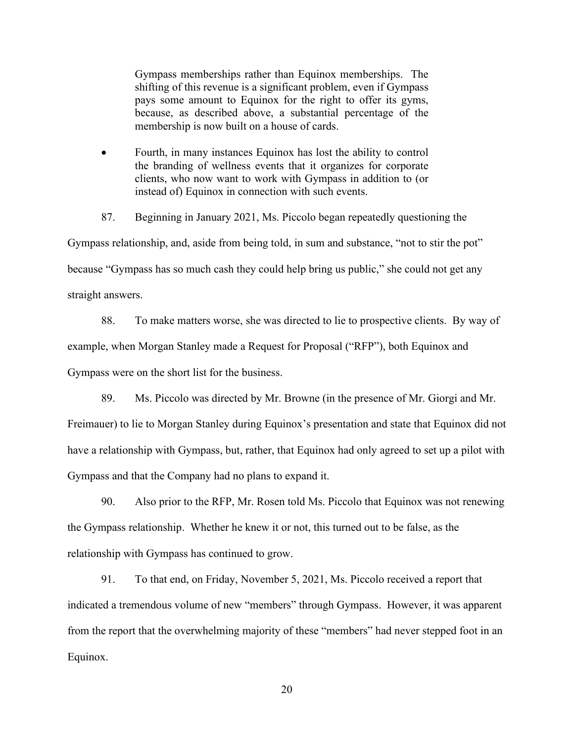Gympass memberships rather than Equinox memberships. The shifting of this revenue is a significant problem, even if Gympass pays some amount to Equinox for the right to offer its gyms, because, as described above, a substantial percentage of the membership is now built on a house of cards.

• Fourth, in many instances Equinox has lost the ability to control the branding of wellness events that it organizes for corporate clients, who now want to work with Gympass in addition to (or instead of) Equinox in connection with such events.

87. Beginning in January 2021, Ms. Piccolo began repeatedly questioning the Gympass relationship, and, aside from being told, in sum and substance, "not to stir the pot" because "Gympass has so much cash they could help bring us public," she could not get any straight answers.

88. To make matters worse, she was directed to lie to prospective clients. By way of example, when Morgan Stanley made a Request for Proposal ("RFP"), both Equinox and Gympass were on the short list for the business.

89. Ms. Piccolo was directed by Mr. Browne (in the presence of Mr. Giorgi and Mr. Freimauer) to lie to Morgan Stanley during Equinox's presentation and state that Equinox did not have a relationship with Gympass, but, rather, that Equinox had only agreed to set up a pilot with Gympass and that the Company had no plans to expand it.

90. Also prior to the RFP, Mr. Rosen told Ms. Piccolo that Equinox was not renewing the Gympass relationship. Whether he knew it or not, this turned out to be false, as the relationship with Gympass has continued to grow.

91. To that end, on Friday, November 5, 2021, Ms. Piccolo received a report that indicated a tremendous volume of new "members" through Gympass. However, it was apparent from the report that the overwhelming majority of these "members" had never stepped foot in an Equinox.